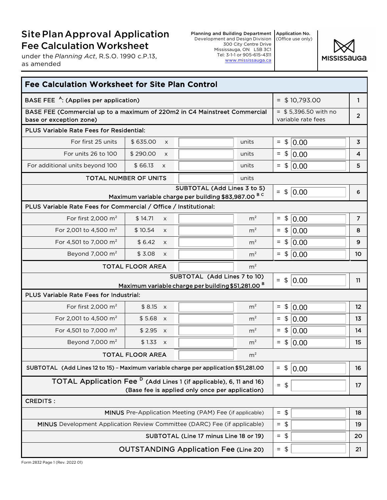## SitePlanApproval Application Fee Calculation Worksheet

under the *Planning Act*, R.S.O. 1990 c.P.13, as amended

Planning and Building Department Application No. Development and Design Division 300 City Centre Drive Mississauga, ON L5B 3C1 Tel: 3-1-1 or 905-615-4311 www.mississauga.ca (Office use only)



| <b>Fee Calculation Worksheet for Site Plan Control</b>                                                   |                              |                                                 |                   |                                              |                |                |
|----------------------------------------------------------------------------------------------------------|------------------------------|-------------------------------------------------|-------------------|----------------------------------------------|----------------|----------------|
| BASE FEE <sup>A</sup> : (Applies per application)                                                        |                              |                                                 |                   | $=$ \$10,793.00                              | 1              |                |
| BASE FEE (Commercial up to a maximum of 220m2 in C4 Mainstreet Commercial<br>base or exception zone)     |                              |                                                 |                   | $=$ \$5,396.50 with no<br>variable rate fees | $\overline{2}$ |                |
| PLUS Variable Rate Fees for Residential:                                                                 |                              |                                                 |                   |                                              |                |                |
| For first 25 units                                                                                       | \$635.00<br>$\times$         |                                                 | units             | $=$ \$                                       | 0.00           | $\overline{3}$ |
| For units 26 to 100                                                                                      | \$290.00<br>$\times$         |                                                 | units             |                                              | $=$ \$   0.00  | 4              |
| For additional units beyond 100                                                                          | \$66.13<br>$\times$          |                                                 | units             | $=$ \$                                       | 0.00           | 5              |
|                                                                                                          | <b>TOTAL NUMBER OF UNITS</b> |                                                 | units             |                                              |                |                |
| SUBTOTAL (Add Lines 3 to 5)<br>Maximum variable charge per building \$83,987.00 BC                       |                              |                                                 | $=$               | \$ 0.00                                      | 6              |                |
| PLUS Variable Rate Fees for Commercial / Office / Institutional:                                         |                              |                                                 |                   |                                              |                |                |
| For first 2,000 $m2$                                                                                     | \$14.71<br>X                 |                                                 | m <sup>2</sup>    | \$<br>$\equiv$                               | 0.00           | $\overline{7}$ |
| For 2,001 to 4,500 m <sup>2</sup>                                                                        | \$10.54<br>$\times$          |                                                 | m <sup>2</sup>    | $\frac{1}{2}$<br>$\equiv$                    | 0.00           | 8              |
| For 4,501 to 7,000 m <sup>2</sup>                                                                        | \$6.42<br>X                  |                                                 | m <sup>2</sup>    | $\frac{1}{2}$<br>$\equiv$                    | 0.00           | 9              |
| Beyond 7,000 $m2$                                                                                        | \$3.08<br>$\times$           |                                                 | m <sup>2</sup>    |                                              | $=$ \$  0.00   | 10             |
|                                                                                                          | <b>TOTAL FLOOR AREA</b>      |                                                 | m <sup>2</sup>    |                                              |                |                |
|                                                                                                          |                              | SUBTOTAL (Add Lines 7 to 10)                    |                   | $=$ \$                                       | 0.00           | 11             |
| Maximum variable charge per building \$51,281.00 <sup>B</sup><br>PLUS Variable Rate Fees for Industrial: |                              |                                                 |                   |                                              |                |                |
| For first 2,000 $m2$                                                                                     | $$8.15 \times$               |                                                 | m <sup>2</sup>    | $=$ \$                                       | 0.00           | 12             |
| For 2,001 to 4,500 m <sup>2</sup>                                                                        | $$5.68 \times$               |                                                 | m <sup>2</sup>    | $=$                                          | \$ 0.00        | 13             |
| For 4,501 to 7,000 m <sup>2</sup>                                                                        | \$2.95 x                     |                                                 | m <sup>2</sup>    | $\frac{1}{2}$<br>$=$                         | 0.00           | 14             |
| Beyond 7,000 m <sup>2</sup>                                                                              | $$1.33 \times$               |                                                 | m <sup>2</sup>    | $=$ \$                                       | 0.00           | 15             |
|                                                                                                          | <b>TOTAL FLOOR AREA</b>      |                                                 | m <sup>2</sup>    |                                              |                |                |
| SUBTOTAL (Add Lines 12 to 15) - Maximum variable charge per application \$51,281.00                      |                              |                                                 |                   | $\frac{1}{2}$<br>$\equiv$                    | 0.00           | 16             |
| TOTAL Application Fee <sup>D</sup> (Add Lines 1 (if applicable), 6, 11 and 16)                           |                              | (Base fee is applied only once per application) |                   | $=$ \$                                       |                | 17             |
| <b>CREDITS:</b>                                                                                          |                              |                                                 |                   |                                              |                |                |
| MINUS Pre-Application Meeting (PAM) Fee (if applicable)                                                  |                              |                                                 | $=$<br>\$         |                                              | 18             |                |
| MINUS Development Application Review Committee (DARC) Fee (if applicable)                                |                              | $=$ \$                                          |                   | 19                                           |                |                |
| SUBTOTAL (Line 17 minus Line 18 or 19)                                                                   |                              |                                                 | $\sqrt{2}$<br>$=$ |                                              | 20             |                |
|                                                                                                          |                              | <b>OUTSTANDING Application Fee (Line 20)</b>    |                   | $=$ \$                                       |                | 21             |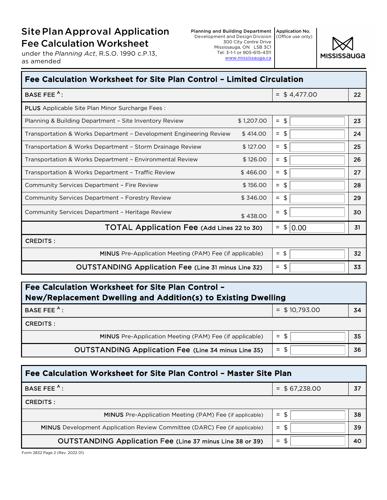## SitePlanApproval Application Fee Calculation Worksheet

under the *Planning Act*, R.S.O. 1990 c.P.13, as amended



| Fee Calculation Worksheet for Site Plan Control - Limited Circulation |            |                                    |    |  |
|-----------------------------------------------------------------------|------------|------------------------------------|----|--|
| BASE FEE <sup>A</sup> :                                               |            | $=$ \$4,477.00                     | 22 |  |
| <b>PLUS</b> Applicable Site Plan Minor Surcharge Fees:                |            |                                    |    |  |
| Planning & Building Department - Site Inventory Review                | \$1,207.00 | $=$ \$                             | 23 |  |
| Transportation & Works Department - Development Engineering Review    | \$414.00   | $=$ \$                             | 24 |  |
| \$127.00<br>Transportation & Works Department - Storm Drainage Review |            | $=$ \$                             | 25 |  |
| \$126.00<br>Transportation & Works Department - Environmental Review  |            | \$<br>$\equiv$                     | 26 |  |
| Transportation & Works Department - Traffic Review                    | \$466.00   | $=$ \$                             | 27 |  |
| <b>Community Services Department - Fire Review</b>                    | \$156.00   | \$<br>$=$                          | 28 |  |
| Community Services Department - Forestry Review                       | \$346.00   | \$<br>$\equiv$                     | 29 |  |
| Community Services Department - Heritage Review                       | \$438.00   | \$<br>$\equiv$                     | 30 |  |
| TOTAL Application Fee (Add Lines 22 to 30)                            |            | $\frac{1}{2}$<br> 0.00<br>$\equiv$ | 31 |  |
| <b>CREDITS:</b>                                                       |            |                                    |    |  |
| <b>MINUS</b> Pre-Application Meeting (PAM) Fee (if applicable)        |            | $=$ \$                             | 32 |  |
| <b>OUTSTANDING Application Fee (Line 31 minus Line 32)</b>            |            | - \$<br>$=$                        | 33 |  |

| Fee Calculation Worksheet for Site Plan Control -<br>New/Replacement Dwelling and Addition(s) to Existing Dwelling |                 |    |  |  |
|--------------------------------------------------------------------------------------------------------------------|-----------------|----|--|--|
| BASE FEE <sup>A</sup> :                                                                                            | $=$ \$10,793.00 | 34 |  |  |
| CREDITS :                                                                                                          |                 |    |  |  |
| MINUS Pre-Application Meeting (PAM) Fee (if applicable)                                                            | $=$ \$          | 35 |  |  |
| <b>OUTSTANDING Application Fee (Line 34 minus Line 35)</b>                                                         | $=$ \$          | 36 |  |  |

| Fee Calculation Worksheet for Site Plan Control - Master Site Plan               |                  |    |  |  |
|----------------------------------------------------------------------------------|------------------|----|--|--|
| BASE FEE <sup>A</sup> :                                                          | $=$ \$ 67,238.00 | 37 |  |  |
| CREDITS :                                                                        |                  |    |  |  |
| <b>MINUS</b> Pre-Application Meeting (PAM) Fee (if applicable)                   | $=$ \$           | 38 |  |  |
| <b>MINUS</b> Development Application Review Committee (DARC) Fee (if applicable) | $=$ \$           | 39 |  |  |
| <b>OUTSTANDING Application Fee (Line 37 minus Line 38 or 39)</b>                 | \$<br>$=$        | 40 |  |  |

Form 2832 Page 2 (Rev. 2022 01)